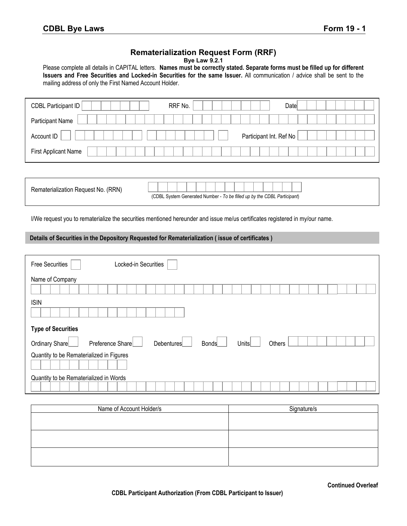## **Rematerialization Request Form (RRF)**

| <b>Bye Law 9.2.1</b> |  |  |  |
|----------------------|--|--|--|
|----------------------|--|--|--|

Please complete all details in CAPITAL letters. **Names must be correctly stated. Separate forms must be filled up for different Issuers and Free Securities and Locked-in Securities for the same Issuer.** All communication / advice shall be sent to the mailing address of only the First Named Account Holder.

| Participant Name                      |  |
|---------------------------------------|--|
|                                       |  |
| Participant Int. Ref No<br>Account ID |  |
| First Applicant Name                  |  |

| Rematerialization Request No. (RRN) |                                                                          |  |  |  |  |  |  |  |  |  |  |  |  |  |  |  |
|-------------------------------------|--------------------------------------------------------------------------|--|--|--|--|--|--|--|--|--|--|--|--|--|--|--|
|                                     | (CDBL System Generated Number - To be filled up by the CDBL Participant) |  |  |  |  |  |  |  |  |  |  |  |  |  |  |  |

I/We request you to rematerialize the securities mentioned hereunder and issue me/us certificates registered in my/our name.

## **Details of Securities in the Depository Requested for Rematerialization ( issue of certificates )**

| Locked-in Securities<br>Free Securities  |                                               |
|------------------------------------------|-----------------------------------------------|
| Name of Company                          |                                               |
| <b>ISIN</b>                              |                                               |
|                                          |                                               |
| <b>Type of Securities</b>                |                                               |
| Ordinary Share<br>Preference Share       | Debentures<br>Others<br><b>Bonds</b><br>Units |
| Quantity to be Rematerialized in Figures |                                               |
| Quantity to be Rematerialized in Words   |                                               |

| Name of Account Holder/s | Signature/s |
|--------------------------|-------------|
|                          |             |
|                          |             |
|                          |             |
|                          |             |
|                          |             |
|                          |             |

**Continued Overleaf**